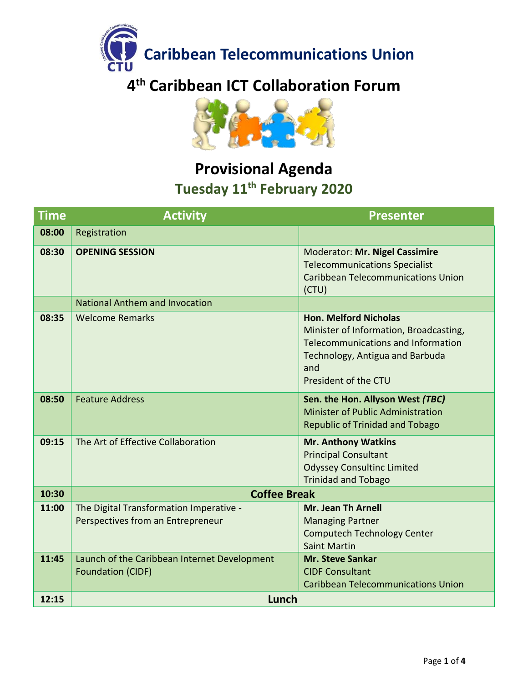



#### **Provisional Agenda Tuesday 11th February 2020**

| <b>Time</b> | <b>Activity</b><br><b>Presenter</b>                                          |                                                                                                                                                                                       |
|-------------|------------------------------------------------------------------------------|---------------------------------------------------------------------------------------------------------------------------------------------------------------------------------------|
| 08:00       | Registration                                                                 |                                                                                                                                                                                       |
| 08:30       | <b>OPENING SESSION</b>                                                       | Moderator: Mr. Nigel Cassimire<br><b>Telecommunications Specialist</b><br><b>Caribbean Telecommunications Union</b><br>(CTU)                                                          |
|             | National Anthem and Invocation                                               |                                                                                                                                                                                       |
| 08:35       | <b>Welcome Remarks</b>                                                       | <b>Hon. Melford Nicholas</b><br>Minister of Information, Broadcasting,<br><b>Telecommunications and Information</b><br>Technology, Antigua and Barbuda<br>and<br>President of the CTU |
| 08:50       | <b>Feature Address</b>                                                       | Sen. the Hon. Allyson West (TBC)<br>Minister of Public Administration<br><b>Republic of Trinidad and Tobago</b>                                                                       |
| 09:15       | The Art of Effective Collaboration                                           | <b>Mr. Anthony Watkins</b><br><b>Principal Consultant</b><br><b>Odyssey Consultinc Limited</b><br><b>Trinidad and Tobago</b>                                                          |
| 10:30       | <b>Coffee Break</b>                                                          |                                                                                                                                                                                       |
| 11:00       | The Digital Transformation Imperative -<br>Perspectives from an Entrepreneur | <b>Mr. Jean Th Arnell</b><br><b>Managing Partner</b><br><b>Computech Technology Center</b><br><b>Saint Martin</b>                                                                     |
| 11:45       | Launch of the Caribbean Internet Development<br><b>Foundation (CIDF)</b>     | <b>Mr. Steve Sankar</b><br><b>CIDF Consultant</b><br><b>Caribbean Telecommunications Union</b>                                                                                        |
| 12:15       | Lunch                                                                        |                                                                                                                                                                                       |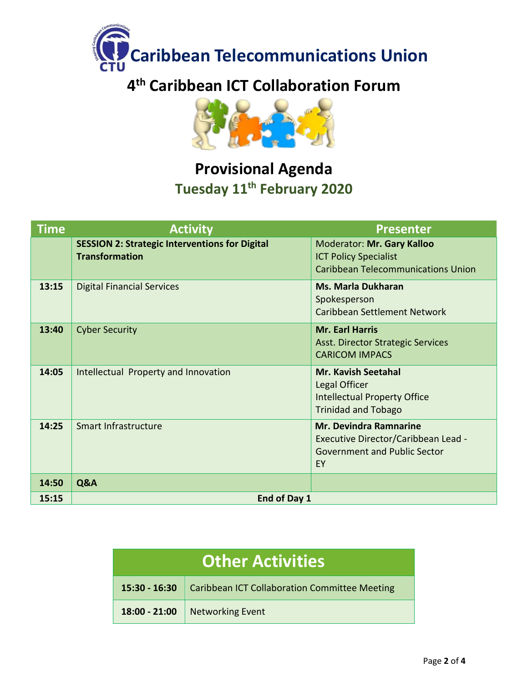



### **Provisional Agenda Tuesday 11th February 2020**

| <b>Time</b> | <b>Activity</b>                                                                | <b>Presenter</b>                                                                                                  |
|-------------|--------------------------------------------------------------------------------|-------------------------------------------------------------------------------------------------------------------|
|             | <b>SESSION 2: Strategic Interventions for Digital</b><br><b>Transformation</b> | Moderator: Mr. Gary Kalloo<br><b>ICT Policy Specialist</b><br><b>Caribbean Telecommunications Union</b>           |
| 13:15       | <b>Digital Financial Services</b>                                              | <b>Ms. Marla Dukharan</b><br>Spokesperson<br><b>Caribbean Settlement Network</b>                                  |
| 13:40       | <b>Cyber Security</b>                                                          | <b>Mr. Earl Harris</b><br><b>Asst. Director Strategic Services</b><br><b>CARICOM IMPACS</b>                       |
| 14:05       | Intellectual Property and Innovation                                           | <b>Mr. Kavish Seetahal</b><br>Legal Officer<br><b>Intellectual Property Office</b><br><b>Trinidad and Tobago</b>  |
| 14:25       | Smart Infrastructure                                                           | <b>Mr. Devindra Ramnarine</b><br>Executive Director/Caribbean Lead -<br><b>Government and Public Sector</b><br>EY |
| 14:50       | Q&A                                                                            |                                                                                                                   |
| 15:15       | End of Day 1                                                                   |                                                                                                                   |

| <b>Other Activities</b> |                                               |  |
|-------------------------|-----------------------------------------------|--|
| $15:30 - 16:30$         | Caribbean ICT Collaboration Committee Meeting |  |
| 18:00 - 21:00           | <b>Networking Event</b>                       |  |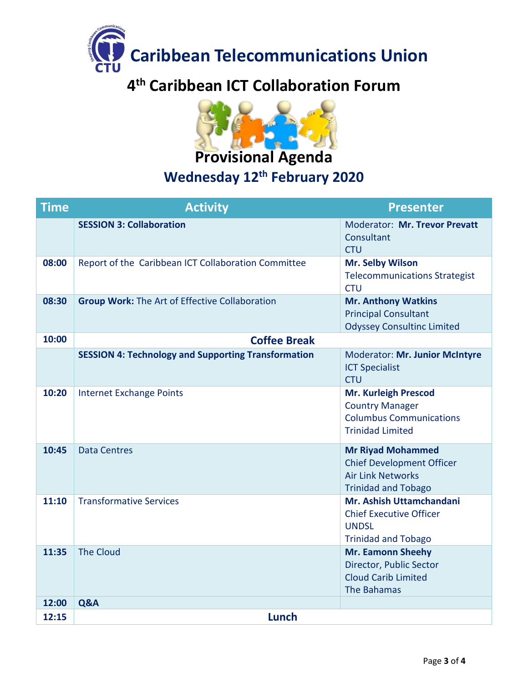



### **Wednesday 12th February 2020**

| <b>Time</b> | <b>Activity</b>                                            | <b>Presenter</b>                                                                                                       |  |
|-------------|------------------------------------------------------------|------------------------------------------------------------------------------------------------------------------------|--|
|             | <b>SESSION 3: Collaboration</b>                            | Moderator: Mr. Trevor Prevatt<br>Consultant<br><b>CTU</b>                                                              |  |
| 08:00       | Report of the Caribbean ICT Collaboration Committee        | Mr. Selby Wilson<br><b>Telecommunications Strategist</b><br><b>CTU</b>                                                 |  |
| 08:30       | <b>Group Work: The Art of Effective Collaboration</b>      | <b>Mr. Anthony Watkins</b><br><b>Principal Consultant</b><br><b>Odyssey Consultinc Limited</b>                         |  |
| 10:00       | <b>Coffee Break</b>                                        |                                                                                                                        |  |
|             | <b>SESSION 4: Technology and Supporting Transformation</b> | Moderator: Mr. Junior McIntyre<br><b>ICT Specialist</b><br><b>CTU</b>                                                  |  |
| 10:20       | <b>Internet Exchange Points</b>                            | <b>Mr. Kurleigh Prescod</b><br><b>Country Manager</b><br><b>Columbus Communications</b><br><b>Trinidad Limited</b>     |  |
| 10:45       | <b>Data Centres</b>                                        | <b>Mr Riyad Mohammed</b><br><b>Chief Development Officer</b><br><b>Air Link Networks</b><br><b>Trinidad and Tobago</b> |  |
| 11:10       | <b>Transformative Services</b>                             | Mr. Ashish Uttamchandani<br><b>Chief Executive Officer</b><br><b>UNDSL</b><br><b>Trinidad and Tobago</b>               |  |
| 11:35       | <b>The Cloud</b>                                           | <b>Mr. Eamonn Sheehy</b><br>Director, Public Sector<br><b>Cloud Carib Limited</b><br>The Bahamas                       |  |
| 12:00       | Q&A                                                        |                                                                                                                        |  |
| 12:15       | Lunch                                                      |                                                                                                                        |  |